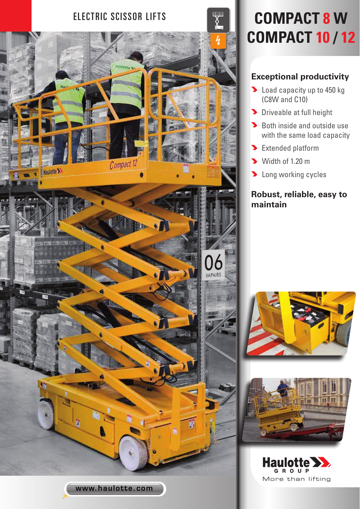

# **COMPACT 10 / 12**

### **Exceptional productivity**

- **D** Load capacity up to 450 kg (C8W and C10)
- Driveable at full height
- Both inside and outside use with the same load capacity
- Extended platform
- Width of 1.20 m
- **Long working cycles**

## **Robust, reliable, easy to maintain**